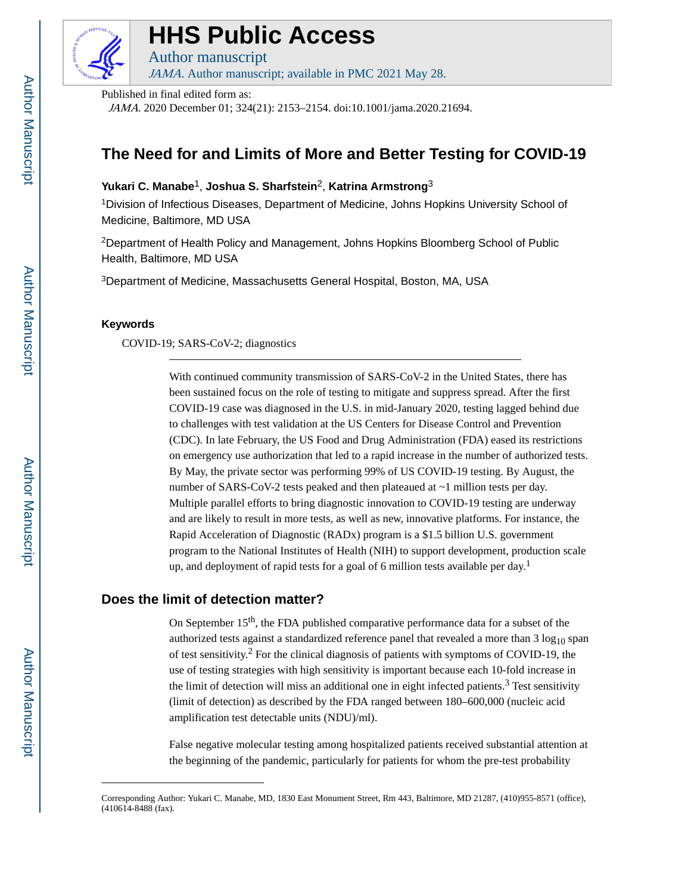

# **HHS Public Access**

Author manuscript JAMA. Author manuscript; available in PMC 2021 May 28.

Published in final edited form as:

JAMA. 2020 December 01; 324(21): 2153–2154. doi:10.1001/jama.2020.21694.

# **The Need for and Limits of More and Better Testing for COVID-19**

**Yukari C. Manabe**1, **Joshua S. Sharfstein**2, **Katrina Armstrong**<sup>3</sup>

<sup>1</sup>Division of Infectious Diseases, Department of Medicine, Johns Hopkins University School of Medicine, Baltimore, MD USA

<sup>2</sup>Department of Health Policy and Management, Johns Hopkins Bloomberg School of Public Health, Baltimore, MD USA

<sup>3</sup>Department of Medicine, Massachusetts General Hospital, Boston, MA, USA

### **Keywords**

COVID-19; SARS-CoV-2; diagnostics

With continued community transmission of SARS-CoV-2 in the United States, there has been sustained focus on the role of testing to mitigate and suppress spread. After the first COVID-19 case was diagnosed in the U.S. in mid-January 2020, testing lagged behind due to challenges with test validation at the US Centers for Disease Control and Prevention (CDC). In late February, the US Food and Drug Administration (FDA) eased its restrictions on emergency use authorization that led to a rapid increase in the number of authorized tests. By May, the private sector was performing 99% of US COVID-19 testing. By August, the number of SARS-CoV-2 tests peaked and then plateaued at ~1 million tests per day. Multiple parallel efforts to bring diagnostic innovation to COVID-19 testing are underway and are likely to result in more tests, as well as new, innovative platforms. For instance, the Rapid Acceleration of Diagnostic (RADx) program is a \$1.5 billion U.S. government program to the National Institutes of Health (NIH) to support development, production scale up, and deployment of rapid tests for a goal of 6 million tests available per day.<sup>1</sup>

### **Does the limit of detection matter?**

On September 15<sup>th</sup>, the FDA published comparative performance data for a subset of the authorized tests against a standardized reference panel that revealed a more than  $3 \log_{10}$  span of test sensitivity.<sup>2</sup> For the clinical diagnosis of patients with symptoms of COVID-19, the use of testing strategies with high sensitivity is important because each 10-fold increase in the limit of detection will miss an additional one in eight infected patients.<sup>3</sup> Test sensitivity (limit of detection) as described by the FDA ranged between 180–600,000 (nucleic acid amplification test detectable units (NDU)/ml).

False negative molecular testing among hospitalized patients received substantial attention at the beginning of the pandemic, particularly for patients for whom the pre-test probability

Corresponding Author: Yukari C. Manabe, MD, 1830 East Monument Street, Rm 443, Baltimore, MD 21287, (410)955-8571 (office), (410614-8488 (fax).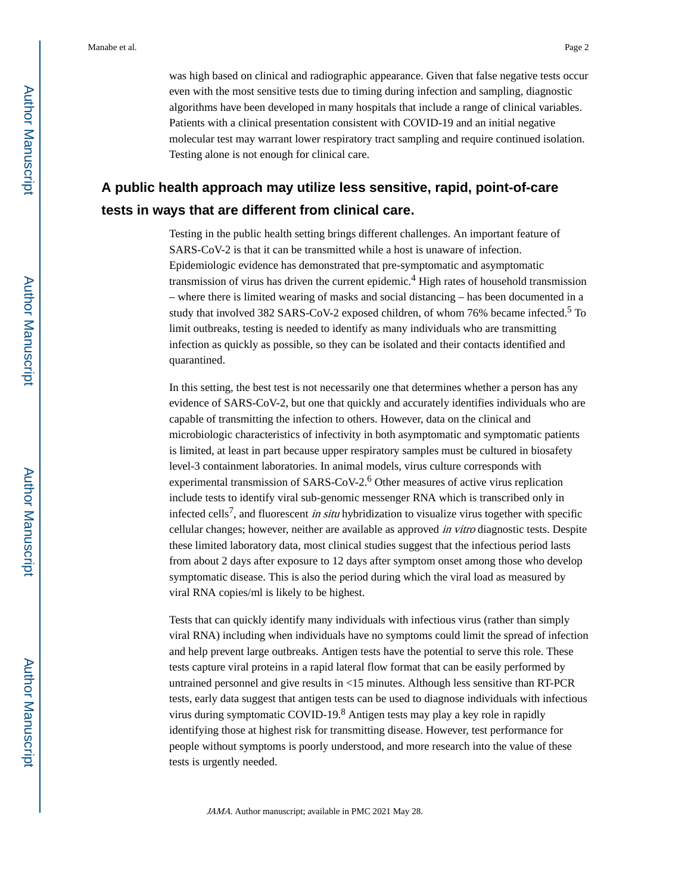was high based on clinical and radiographic appearance. Given that false negative tests occur even with the most sensitive tests due to timing during infection and sampling, diagnostic algorithms have been developed in many hospitals that include a range of clinical variables. Patients with a clinical presentation consistent with COVID-19 and an initial negative molecular test may warrant lower respiratory tract sampling and require continued isolation. Testing alone is not enough for clinical care.

# **A public health approach may utilize less sensitive, rapid, point-of-care tests in ways that are different from clinical care.**

Testing in the public health setting brings different challenges. An important feature of SARS-CoV-2 is that it can be transmitted while a host is unaware of infection. Epidemiologic evidence has demonstrated that pre-symptomatic and asymptomatic transmission of virus has driven the current epidemic.<sup>4</sup> High rates of household transmission – where there is limited wearing of masks and social distancing – has been documented in a study that involved 382 SARS-CoV-2 exposed children, of whom 76% became infected.<sup>5</sup> To limit outbreaks, testing is needed to identify as many individuals who are transmitting infection as quickly as possible, so they can be isolated and their contacts identified and quarantined.

In this setting, the best test is not necessarily one that determines whether a person has any evidence of SARS-CoV-2, but one that quickly and accurately identifies individuals who are capable of transmitting the infection to others. However, data on the clinical and microbiologic characteristics of infectivity in both asymptomatic and symptomatic patients is limited, at least in part because upper respiratory samples must be cultured in biosafety level-3 containment laboratories. In animal models, virus culture corresponds with experimental transmission of SARS-CoV-2.<sup>6</sup> Other measures of active virus replication include tests to identify viral sub-genomic messenger RNA which is transcribed only in infected cells<sup>7</sup>, and fluorescent *in situ* hybridization to visualize virus together with specific cellular changes; however, neither are available as approved in vitro diagnostic tests. Despite these limited laboratory data, most clinical studies suggest that the infectious period lasts from about 2 days after exposure to 12 days after symptom onset among those who develop symptomatic disease. This is also the period during which the viral load as measured by viral RNA copies/ml is likely to be highest.

Tests that can quickly identify many individuals with infectious virus (rather than simply viral RNA) including when individuals have no symptoms could limit the spread of infection and help prevent large outbreaks. Antigen tests have the potential to serve this role. These tests capture viral proteins in a rapid lateral flow format that can be easily performed by untrained personnel and give results in <15 minutes. Although less sensitive than RT-PCR tests, early data suggest that antigen tests can be used to diagnose individuals with infectious virus during symptomatic COVID-19.<sup>8</sup> Antigen tests may play a key role in rapidly identifying those at highest risk for transmitting disease. However, test performance for people without symptoms is poorly understood, and more research into the value of these tests is urgently needed.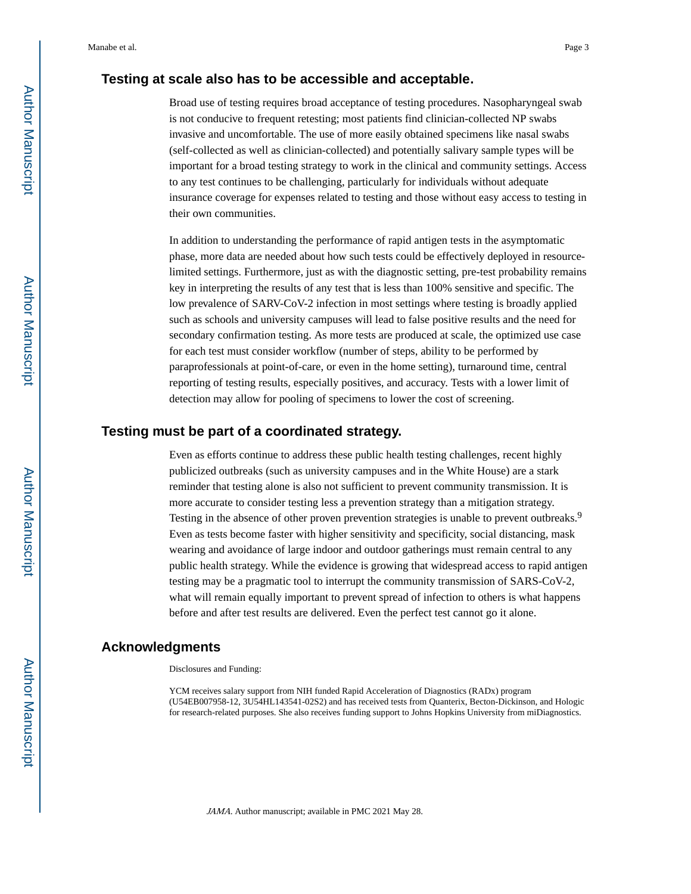### **Testing at scale also has to be accessible and acceptable.**

Broad use of testing requires broad acceptance of testing procedures. Nasopharyngeal swab is not conducive to frequent retesting; most patients find clinician-collected NP swabs invasive and uncomfortable. The use of more easily obtained specimens like nasal swabs (self-collected as well as clinician-collected) and potentially salivary sample types will be important for a broad testing strategy to work in the clinical and community settings. Access to any test continues to be challenging, particularly for individuals without adequate insurance coverage for expenses related to testing and those without easy access to testing in their own communities.

In addition to understanding the performance of rapid antigen tests in the asymptomatic phase, more data are needed about how such tests could be effectively deployed in resourcelimited settings. Furthermore, just as with the diagnostic setting, pre-test probability remains key in interpreting the results of any test that is less than 100% sensitive and specific. The low prevalence of SARV-CoV-2 infection in most settings where testing is broadly applied such as schools and university campuses will lead to false positive results and the need for secondary confirmation testing. As more tests are produced at scale, the optimized use case for each test must consider workflow (number of steps, ability to be performed by paraprofessionals at point-of-care, or even in the home setting), turnaround time, central reporting of testing results, especially positives, and accuracy. Tests with a lower limit of detection may allow for pooling of specimens to lower the cost of screening.

#### **Testing must be part of a coordinated strategy.**

Even as efforts continue to address these public health testing challenges, recent highly publicized outbreaks (such as university campuses and in the White House) are a stark reminder that testing alone is also not sufficient to prevent community transmission. It is more accurate to consider testing less a prevention strategy than a mitigation strategy. Testing in the absence of other proven prevention strategies is unable to prevent outbreaks.<sup>9</sup> Even as tests become faster with higher sensitivity and specificity, social distancing, mask wearing and avoidance of large indoor and outdoor gatherings must remain central to any public health strategy. While the evidence is growing that widespread access to rapid antigen testing may be a pragmatic tool to interrupt the community transmission of SARS-CoV-2, what will remain equally important to prevent spread of infection to others is what happens before and after test results are delivered. Even the perfect test cannot go it alone.

#### **Acknowledgments**

Disclosures and Funding:

YCM receives salary support from NIH funded Rapid Acceleration of Diagnostics (RADx) program (U54EB007958-12, 3U54HL143541-02S2) and has received tests from Quanterix, Becton-Dickinson, and Hologic for research-related purposes. She also receives funding support to Johns Hopkins University from miDiagnostics.